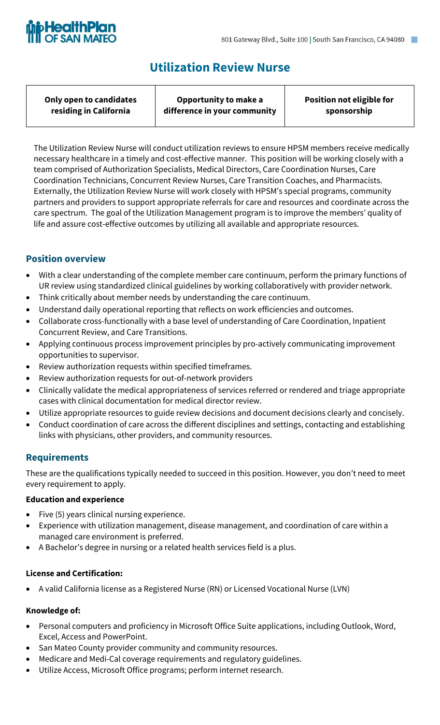

# **Utilization Review Nurse**

| Only open to candidates | Opportunity to make a        | <b>Position not eligible for</b> |
|-------------------------|------------------------------|----------------------------------|
| residing in California  | difference in your community | sponsorship                      |
|                         |                              |                                  |

The Utilization Review Nurse will conduct utilization reviews to ensure HPSM members receive medically necessary healthcare in a timely and cost-effective manner. This position will be working closely with a team comprised of Authorization Specialists, Medical Directors, Care Coordination Nurses, Care Coordination Technicians, Concurrent Review Nurses, Care Transition Coaches, and Pharmacists. Externally, the Utilization Review Nurse will work closely with HPSM's special programs, community partners and providers to support appropriate referrals for care and resources and coordinate across the care spectrum. The goal of the Utilization Management program is to improve the members' quality of life and assure cost-effective outcomes by utilizing all available and appropriate resources.

# **Position overview**

- With a clear understanding of the complete member care continuum, perform the primary functions of UR review using standardized clinical guidelines by working collaboratively with provider network.
- Think critically about member needs by understanding the care continuum.
- Understand daily operational reporting that reflects on work efficiencies and outcomes.
- Collaborate cross-functionally with a base level of understanding of Care Coordination, Inpatient Concurrent Review, and Care Transitions.
- Applying continuous process improvement principles by pro-actively communicating improvement opportunities to supervisor.
- Review authorization requests within specified timeframes.
- Review authorization requests for out-of-network providers
- Clinically validate the medical appropriateness of services referred or rendered and triage appropriate cases with clinical documentation for medical director review.
- Utilize appropriate resources to guide review decisions and document decisions clearly and concisely.
- Conduct coordination of care across the different disciplines and settings, contacting and establishing links with physicians, other providers, and community resources.

# **Requirements**

These are the qualifications typically needed to succeed in this position. However, you don't need to meet every requirement to apply.

#### **Education and experience**

- Five (5) years clinical nursing experience.
- Experience with utilization management, disease management, and coordination of care within a managed care environment is preferred.
- A Bachelor's degree in nursing or a related health services field is a plus.

#### **License and Certification:**

• A valid California license as a Registered Nurse (RN) or Licensed Vocational Nurse (LVN)

#### **Knowledge of:**

- Personal computers and proficiency in Microsoft Office Suite applications, including Outlook, Word, Excel, Access and PowerPoint.
- San Mateo County provider community and community resources.
- Medicare and Medi-Cal coverage requirements and regulatory guidelines.
- Utilize Access, Microsoft Office programs; perform internet research.